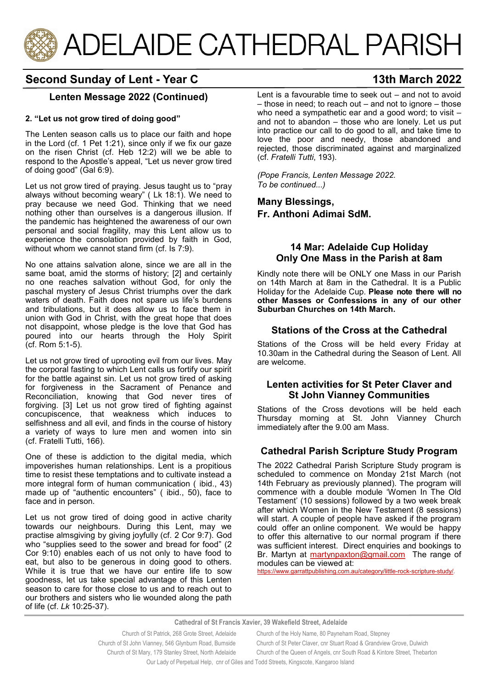

# **Second Sunday of Lent - Year C 13th March 2022**

# **Lenten Message 2022 (Continued)**

#### **2. "Let us not grow tired of doing good"**

The Lenten season calls us to place our faith and hope in the Lord (cf. 1 Pet 1:21), since only if we fix our gaze on the risen Christ (cf. Heb 12:2) will we be able to respond to the Apostle's appeal, "Let us never grow tired of doing good" (Gal 6:9).

Let us not grow tired of praying. Jesus taught us to "pray always without becoming weary" ( Lk 18:1). We need to pray because we need God. Thinking that we need nothing other than ourselves is a dangerous illusion. If the pandemic has heightened the awareness of our own personal and social fragility, may this Lent allow us to experience the consolation provided by faith in God, without whom we cannot stand firm (cf. Is 7:9).

No one attains salvation alone, since we are all in the same boat, amid the storms of history; [2] and certainly no one reaches salvation without God, for only the paschal mystery of Jesus Christ triumphs over the dark waters of death. Faith does not spare us life's burdens and tribulations, but it does allow us to face them in union with God in Christ, with the great hope that does not disappoint, whose pledge is the love that God has poured into our hearts through the Holy Spirit (cf. Rom 5:1-5).

Let us not grow tired of uprooting evil from our lives. May the corporal fasting to which Lent calls us fortify our spirit for the battle against sin. Let us not grow tired of asking for forgiveness in the Sacrament of Penance and Reconciliation, knowing that God never tires of forgiving. [3] Let us not grow tired of fighting against concupiscence, that weakness which induces to selfishness and all evil, and finds in the course of history a variety of ways to lure men and women into sin (cf. Fratelli Tutti, 166).

One of these is addiction to the digital media, which impoverishes human relationships. Lent is a propitious time to resist these temptations and to cultivate instead a more integral form of human communication ( ibid., 43) made up of "authentic encounters" ( ibid., 50), face to face and in person.

Let us not grow tired of doing good in active charity towards our neighbours. During this Lent, may we practise almsgiving by giving joyfully (cf. 2 Cor 9:7). God who "supplies seed to the sower and bread for food" (2) Cor 9:10) enables each of us not only to have food to eat, but also to be generous in doing good to others. While it is true that we have our entire life to sow goodness, let us take special advantage of this Lenten season to care for those close to us and to reach out to our brothers and sisters who lie wounded along the path of life (cf. *Lk* 10:25-37).

Lent is a favourable time to seek out – and not to avoid – those in need; to reach out – and not to ignore – those who need a sympathetic ear and a good word; to visit – and not to abandon – those who are lonely. Let us put into practice our call to do good to all, and take time to love the poor and needy, those abandoned and rejected, those discriminated against and marginalized (cf. *Fratelli Tutti*, 193).

*(Pope Francis, Lenten Message 2022. To be continued...)*

**Many Blessings, Fr. Anthoni Adimai SdM.**

### **14 Mar: Adelaide Cup Holiday Only One Mass in the Parish at 8am**

Kindly note there will be ONLY one Mass in our Parish on 14th March at 8am in the Cathedral. It is a Public Holiday for the Adelaide Cup. **Please note there will no other Masses or Confessions in any of our other Suburban Churches on 14th March.** 

# **Stations of the Cross at the Cathedral**

Stations of the Cross will be held every Friday at 10.30am in the Cathedral during the Season of Lent. All are welcome.

# **Lenten activities for St Peter Claver and St John Vianney Communities**

Stations of the Cross devotions will be held each Thursday morning at St. John Vianney Church immediately after the 9.00 am Mass.

# **Cathedral Parish Scripture Study Program**

The 2022 Cathedral Parish Scripture Study program is scheduled to commence on Monday 21st March (not 14th February as previously planned). The program will commence with a double module 'Women In The Old Testament' (10 sessions) followed by a two week break after which Women in the New Testament (8 sessions) will start. A couple of people have asked if the program could offer an online component. We would be happy to offer this alternative to our normal program if there was sufficient interest. Direct enquiries and bookings to Br. Martyn at [martynpaxton@gmail.com](mailto:martynpaxton@gmail.com) The range of modules can be viewed at:

[https://www.garrattpublishing.com.au/category/little](https://aus01.safelinks.protection.outlook.com/?url=https%3A%2F%2Fwww.garrattpublishing.com.au%2Fcategory%2Flittle-rock-scripture-study%2F&data=04%7C01%7Ccfernandez%40acp.adelaide.catholic.org.au%7C38081934883c4a754bcb08d9fa72f8ad%7Cfe51d108d61d407cbcaaaab5af)-rock-scripture-study/.

**Cathedral of St Francis Xavier, 39 Wakefield Street, Adelaide**

| Church of St Patrick, 268 Grote Street, Adelaide                                      | Church of the Holy Name, 80 Payneham Road, Stepney                        |
|---------------------------------------------------------------------------------------|---------------------------------------------------------------------------|
| Church of St John Vianney, 546 Glynburn Road, Burnside                                | Church of St Peter Claver, cnr Stuart Road & Grandview Grove, Dulwich     |
| Church of St Mary, 179 Stanley Street, North Adelaide                                 | Church of the Queen of Angels, cnr South Road & Kintore Street, Thebarton |
| Our Lady of Perpetual Help, cnr of Giles and Todd Streets, Kingscote, Kangaroo Island |                                                                           |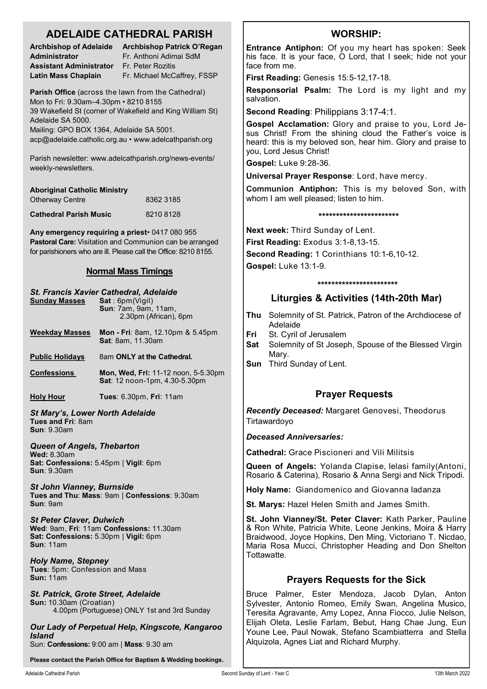# **ADELAIDE CATHEDRAL PARISH**

| <b>Archbishop of Adelaide</b> |  |
|-------------------------------|--|
| Administrator                 |  |
| Assistant Administrator       |  |
| Latin Mass Chaplain           |  |

**Archbishop Patrick O'Regan Administrator** Fr. Anthoni Adimai SdM **Assistant Administrator** Fr. Peter Rozitis Fr. Michael McCaffrey, FSSP

**Parish Office** (across the lawn from the Cathedral) Mon to Fri: 9.30am–4.30pm • 8210 8155 39 Wakefield St (corner of Wakefield and King William St) Adelaide SA 5000. Mailing: GPO BOX 1364, Adelaide SA 5001.

acp@adelaide.catholic.org.au • www.adelcathparish.org

Parish newsletter: www.adelcathparish.org/news-events/ weekly-newsletters.

| <b>Aboriginal Catholic Ministry</b> |           |
|-------------------------------------|-----------|
| <b>Otherway Centre</b>              | 8362 3185 |
| <b>Cathedral Parish Music</b>       | 82108128  |

**Any emergency requiring a priest**• 0417 080 955 **Pastoral Care:** Visitation and Communion can be arranged for parishioners who are ill. Please call the Office: 8210 8155.

# **Normal Mass Timings**

| <b>Sunday Masses</b>                                                                                            | St. Francis Xavier Cathedral, Adelaide<br>Sat:6pm(Vigil)<br><b>Sun: 7am, 9am, 11am,</b><br>2.30pm (African), 6pm |  |
|-----------------------------------------------------------------------------------------------------------------|------------------------------------------------------------------------------------------------------------------|--|
| Weekday Masses                                                                                                  | <b>Mon - Fri</b> : 8am, 12.10pm & 5.45pm<br><b>Sat: 8am, 11.30am</b>                                             |  |
| <b>Public Holidays</b>                                                                                          | 8am ONLY at the Cathedral.                                                                                       |  |
| <b>Confessions</b>                                                                                              | <b>Mon, Wed, Fri: 11-12 noon, 5-5.30pm</b><br>Sat: 12 noon-1pm, 4.30-5.30pm                                      |  |
| <u>Holy Hour</u>                                                                                                | <b>Tues: 6.30pm, Fri: 11am</b>                                                                                   |  |
| <b>St Mary's, Lower North Adelaide</b><br>Tues and Fri: 8am<br><b>Sun</b> : 9.30am                              |                                                                                                                  |  |
| Queen of Angels, Thebarton<br><b>Wed:</b> 8.30am<br>Sat: Confessions: 5.45pm   Vigil: 6pm<br><b>Sun: 9.30am</b> |                                                                                                                  |  |
| <b>St John Vianney, Burnside</b><br>Tues and Thu: Mass: 9am   Confessions: 9.30am<br><b>Sun: 9am</b>            |                                                                                                                  |  |

*St Peter Claver, Dulwich* **Wed**: 9am, **Fri**: 11am **Confessions:** 11.30am **Sat: Confessions:** 5.30pm | **Vigil:** 6pm **Sun**: 11am

*Holy Name, Stepney* **Tues**: 5pm: Confession and Mass **Sun:** 11am

*St. Patrick, Grote Street, Adelaide* **Sun:** 10.30am (Croatian) 4.00pm (Portuguese) ONLY 1st and 3rd Sunday

*Our Lady of Perpetual Help, Kingscote, Kangaroo Island*

Sun: **Confessions:** 9:00 am | **Mass**: 9.30 am

**Please contact the Parish Office for Baptism & Wedding bookings.**

# **WORSHIP:**

**Entrance Antiphon:** Of you my heart has spoken: Seek his face. It is your face, O Lord, that I seek; hide not your face from me.

**First Reading:** Genesis 15:5-12,17-18.

**Responsorial Psalm:** The Lord is my light and my salvation.

**Second Reading**: Philippians 3:17-4:1.

**Gospel Acclamation:** Glory and praise to you, Lord Jesus Christ! From the shining cloud the Father's voice is heard: this is my beloved son, hear him. Glory and praise to you, Lord Jesus Christ!

**Gospel:** Luke 9:28-36.

**Universal Prayer Response**: Lord, have mercy.

**Communion Antiphon:** This is my beloved Son, with whom I am well pleased; listen to him.

**\*\*\*\*\*\*\*\*\*\*\*\*\*\*\*\*\*\*\*\*\*\*\***

**Next week:** Third Sunday of Lent.

**First Reading:** Exodus 3:1-8,13-15.

**Second Reading:** 1 Corinthians 10:1-6,10-12.

**Gospel:** Luke 13:1-9.

#### **\*\*\*\*\*\*\*\*\*\*\*\*\*\*\*\*\*\*\*\*\*\*\***

# **Liturgies & Activities (14th-20th Mar)**

- **Thu** Solemnity of St. Patrick, Patron of the Archdiocese of Adelaide
- **Fri** St. Cyril of Jerusalem
- **Sat** Solemnity of St Joseph, Spouse of the Blessed Virgin Mary.
- **Sun** Third Sunday of Lent.

# **Prayer Requests**

*Recently Deceased:* Margaret Genovesi, Theodorus **Tirtawardoyo** 

*Deceased Anniversaries:* 

**Cathedral:** Grace Piscioneri and Vili Militsis

**Queen of Angels:** Yolanda Clapise, Ielasi family(Antoni, Rosario & Caterina), Rosario & Anna Sergi and Nick Tripodi.

**Holy Name:** Giandomenico and Giovanna Iadanza

**St. Marys:** Hazel Helen Smith and James Smith.

**St. John Vianney/St. Peter Claver:** Kath Parker, Pauline & Ron White, Patricia White, Leone Jenkins, Moira & Harry Braidwood, Joyce Hopkins, Den Ming, Victoriano T. Nicdao, Maria Rosa Mucci, Christopher Heading and Don Shelton Tottawatte.

# **Prayers Requests for the Sick**

Bruce Palmer, Ester Mendoza, Jacob Dylan, Anton Sylvester, Antonio Romeo, Emily Swan, Angelina Musico, Teresita Agravante, Amy Lopez, Anna Fiocco, Julie Nelson, Elijah Oleta, Leslie Farlam, Bebut, Hang Chae Jung, Eun Youne Lee, Paul Nowak, Stefano Scambiatterra and Stella Alquizola, Agnes Liat and Richard Murphy.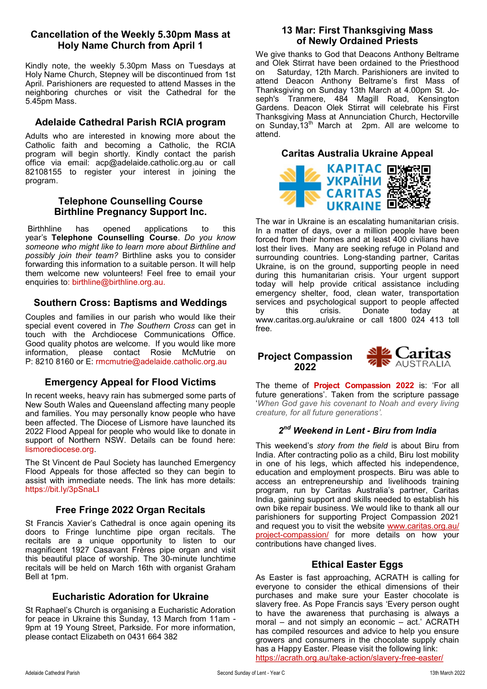# **Cancellation of the Weekly 5.30pm Mass at Holy Name Church from April 1**

Kindly note, the weekly 5.30pm Mass on Tuesdays at Holy Name Church, Stepney will be discontinued from 1st April. Parishioners are requested to attend Masses in the neighboring churches or visit the Cathedral for the 5.45pm Mass.

# **Adelaide Cathedral Parish RCIA program**

Adults who are interested in knowing more about the Catholic faith and becoming a Catholic, the RCIA program will begin shortly. Kindly contact the parish office via email: acp@adelaide.catholic.org.au or call 82108155 to register your interest in joining the program.

#### **Telephone Counselling Course Birthline Pregnancy Support Inc.**

Birthhline has opened applications to this year's **Telephone Counselling Course**. *Do you know someone who might like to learn more about Birthline and possibly join their team?* Birthline asks you to consider forwarding this information to a suitable person. It will help them welcome new volunteers! Feel free to email your enquiries to: birthline@birthline.org.au.

# **Southern Cross: Baptisms and Weddings**

Couples and families in our parish who would like their special event covered in *The Southern Cross* can get in touch with the Archdiocese Communications Office. Good quality photos are welcome. If you would like more information, please contact Rosie McMutrie on P: 8210 8160 or E: rmcmutrie@adelaide.catholic.org.au

# **Emergency Appeal for Flood Victims**

In recent weeks, heavy rain has submerged some parts of New South Wales and Queensland affecting many people and families. You may personally know people who have been affected. The Diocese of Lismore have launched its 2022 Flood Appeal for people who would like to donate in support of Northern NSW. Details can be found here: lismorediocese.org.

The St Vincent de Paul Society has launched Emergency Flood Appeals for those affected so they can begin to assist with immediate needs. The link has more details: https://bit.ly/3pSnaLI

# **Free Fringe 2022 Organ Recitals**

St Francis Xavier's Cathedral is once again opening its doors to Fringe lunchtime pipe organ recitals. The recitals are a unique opportunity to listen to our magnificent 1927 Casavant Frères pipe organ and visit this beautiful place of worship. The 30-minute lunchtime recitals will be held on March 16th with organist Graham Bell at 1pm.

# **Eucharistic Adoration for Ukraine**

St Raphael's Church is organising a Eucharistic Adoration for peace in Ukraine this Sunday, 13 March from 11am - 9pm at 19 Young Street, Parkside. For more information, please contact Elizabeth on 0431 664 382

# **13 Mar: First Thanksgiving Mass of Newly Ordained Priests**

We give thanks to God that Deacons Anthony Beltrame and Olek Stirrat have been ordained to the Priesthood on Saturday, 12th March. Parishioners are invited to attend Deacon Anthony Beltrame's first Mass of Thanksgiving on Sunday 13th March at 4.00pm St. Joseph's Tranmere, 484 Magill Road, Kensington Gardens. Deacon Olek Stirrat will celebrate his First Thanksgiving Mass at Annunciation Church, Hectorville on Sunday, 13<sup>th</sup> March at 2pm. All are welcome to attend.

# **Caritas Australia Ukraine Appeal**



The war in Ukraine is an escalating humanitarian crisis. In a matter of days, over a million people have been forced from their homes and at least 400 civilians have lost their lives. Many are seeking refuge in Poland and surrounding countries. Long-standing partner, Caritas Ukraine, is on the ground, supporting people in need during this humanitarian crisis. Your urgent support today will help provide critical assistance including emergency shelter, food, clean water, transportation services and psychological support to people affected<br>by this crisis. Donate today at by this crisis. Donate today at www.caritas.org.au/ukraine or call 1800 024 413 toll free.

# **Project Compassion 2022**

The theme of **Project Compassion 2022** is: 'For all future generations'. Taken from the scripture passage '*When God gave his covenant to Noah and every living creature, for all future generations'.*

#### *2 nd Weekend in Lent - Biru from India*

This weekend's *story from the field* is about Biru from India. After contracting polio as a child, Biru lost mobility in one of his legs, which affected his independence, education and employment prospects. Biru was able to access an entrepreneurship and livelihoods training program, run by Caritas Australia's partner, Caritas India, gaining support and skills needed to establish his own bike repair business. We would like to thank all our parishioners for supporting Project Compassion 2021 and request you to visit the website [www.caritas.org.au/](http://www.caritas.org.au/project-compassion/) project-[compassion/](http://www.caritas.org.au/project-compassion/) for more details on how your contributions have changed lives.

# **Ethical Easter Eggs**

As Easter is fast approaching, ACRATH is calling for everyone to consider the ethical dimensions of their purchases and make sure your Easter chocolate is slavery free. As Pope Francis says 'Every person ought to have the awareness that purchasing is always a moral – and not simply an economic – act.' ACRATH has compiled resources and advice to help you ensure growers and consumers in the chocolate supply chain has a Happy Easter. Please visit the following link: [https://acrath.org.au/take](https://acrath.org.au/take-action/slavery-free-easter/)-action/slavery-free-easter/